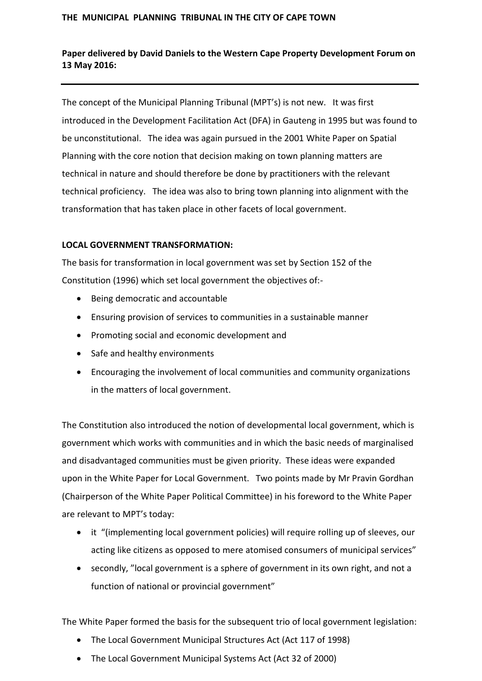#### **THE MUNICIPAL PLANNING TRIBUNAL IN THE CITY OF CAPE TOWN**

# **Paper delivered by David Daniels to the Western Cape Property Development Forum on 13 May 2016:**

The concept of the Municipal Planning Tribunal (MPT's) is not new. It was first introduced in the Development Facilitation Act (DFA) in Gauteng in 1995 but was found to be unconstitutional. The idea was again pursued in the 2001 White Paper on Spatial Planning with the core notion that decision making on town planning matters are technical in nature and should therefore be done by practitioners with the relevant technical proficiency. The idea was also to bring town planning into alignment with the transformation that has taken place in other facets of local government.

### **LOCAL GOVERNMENT TRANSFORMATION:**

The basis for transformation in local government was set by Section 152 of the Constitution (1996) which set local government the objectives of:-

- Being democratic and accountable
- Ensuring provision of services to communities in a sustainable manner
- Promoting social and economic development and
- Safe and healthy environments
- Encouraging the involvement of local communities and community organizations in the matters of local government.

The Constitution also introduced the notion of developmental local government, which is government which works with communities and in which the basic needs of marginalised and disadvantaged communities must be given priority. These ideas were expanded upon in the White Paper for Local Government. Two points made by Mr Pravin Gordhan (Chairperson of the White Paper Political Committee) in his foreword to the White Paper are relevant to MPT's today:

- it "(implementing local government policies) will require rolling up of sleeves, our acting like citizens as opposed to mere atomised consumers of municipal services"
- secondly, "local government is a sphere of government in its own right, and not a function of national or provincial government"

The White Paper formed the basis for the subsequent trio of local government legislation:

- The Local Government Municipal Structures Act (Act 117 of 1998)
- The Local Government Municipal Systems Act (Act 32 of 2000)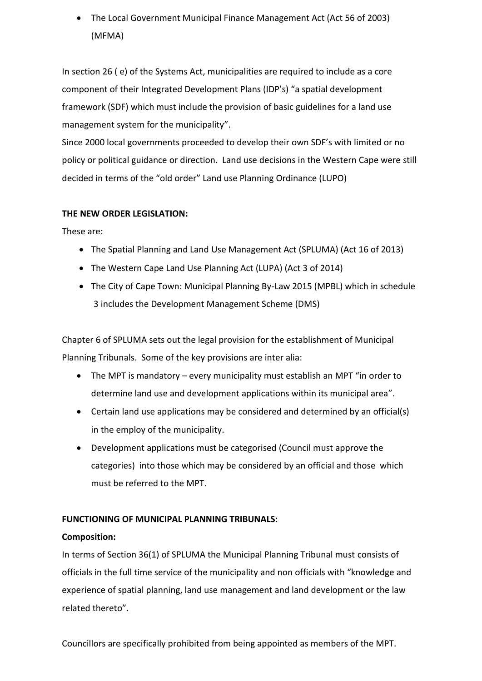The Local Government Municipal Finance Management Act (Act 56 of 2003) (MFMA)

In section 26 ( e) of the Systems Act, municipalities are required to include as a core component of their Integrated Development Plans (IDP's) "a spatial development framework (SDF) which must include the provision of basic guidelines for a land use management system for the municipality".

Since 2000 local governments proceeded to develop their own SDF's with limited or no policy or political guidance or direction. Land use decisions in the Western Cape were still decided in terms of the "old order" Land use Planning Ordinance (LUPO)

# **THE NEW ORDER LEGISLATION:**

These are:

- The Spatial Planning and Land Use Management Act (SPLUMA) (Act 16 of 2013)
- The Western Cape Land Use Planning Act (LUPA) (Act 3 of 2014)
- The City of Cape Town: Municipal Planning By-Law 2015 (MPBL) which in schedule 3 includes the Development Management Scheme (DMS)

Chapter 6 of SPLUMA sets out the legal provision for the establishment of Municipal Planning Tribunals. Some of the key provisions are inter alia:

- The MPT is mandatory every municipality must establish an MPT "in order to determine land use and development applications within its municipal area".
- Certain land use applications may be considered and determined by an official(s) in the employ of the municipality.
- Development applications must be categorised (Council must approve the categories) into those which may be considered by an official and those which must be referred to the MPT.

### **FUNCTIONING OF MUNICIPAL PLANNING TRIBUNALS:**

### **Composition:**

In terms of Section 36(1) of SPLUMA the Municipal Planning Tribunal must consists of officials in the full time service of the municipality and non officials with "knowledge and experience of spatial planning, land use management and land development or the law related thereto".

Councillors are specifically prohibited from being appointed as members of the MPT.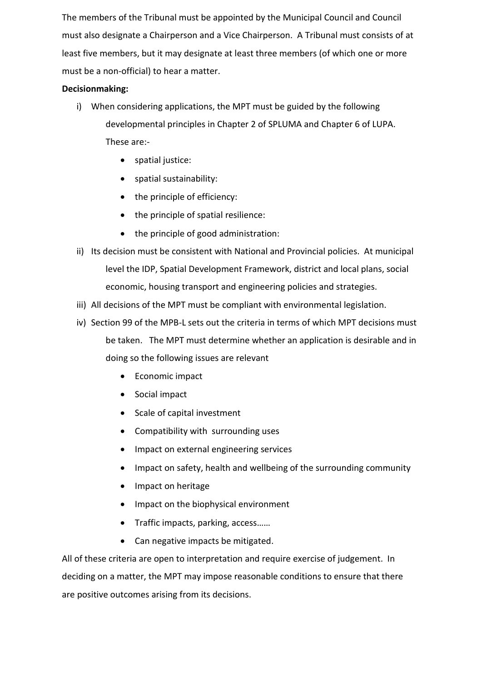The members of the Tribunal must be appointed by the Municipal Council and Council must also designate a Chairperson and a Vice Chairperson. A Tribunal must consists of at least five members, but it may designate at least three members (of which one or more must be a non-official) to hear a matter.

# **Decisionmaking:**

- i) When considering applications, the MPT must be guided by the following developmental principles in Chapter 2 of SPLUMA and Chapter 6 of LUPA. These are:
	- spatial justice:
	- spatial sustainability:
	- the principle of efficiency:
	- the principle of spatial resilience:
	- the principle of good administration:
- ii) Its decision must be consistent with National and Provincial policies. At municipal level the IDP, Spatial Development Framework, district and local plans, social economic, housing transport and engineering policies and strategies.
- iii) All decisions of the MPT must be compliant with environmental legislation.
- iv) Section 99 of the MPB-L sets out the criteria in terms of which MPT decisions must be taken. The MPT must determine whether an application is desirable and in doing so the following issues are relevant
	- Economic impact
	- Social impact
	- Scale of capital investment
	- Compatibility with surrounding uses
	- Impact on external engineering services
	- Impact on safety, health and wellbeing of the surrounding community
	- Impact on heritage
	- Impact on the biophysical environment
	- Traffic impacts, parking, access……
	- Can negative impacts be mitigated.

All of these criteria are open to interpretation and require exercise of judgement. In deciding on a matter, the MPT may impose reasonable conditions to ensure that there are positive outcomes arising from its decisions.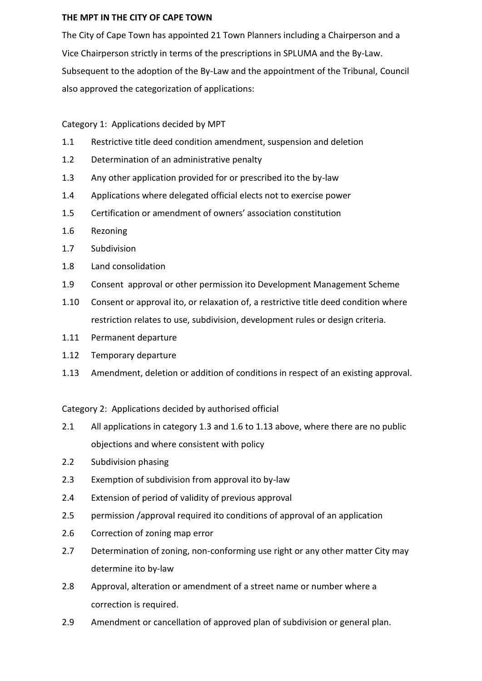## **THE MPT IN THE CITY OF CAPE TOWN**

The City of Cape Town has appointed 21 Town Planners including a Chairperson and a Vice Chairperson strictly in terms of the prescriptions in SPLUMA and the By-Law. Subsequent to the adoption of the By-Law and the appointment of the Tribunal, Council also approved the categorization of applications:

# Category 1: Applications decided by MPT

- 1.1 Restrictive title deed condition amendment, suspension and deletion
- 1.2 Determination of an administrative penalty
- 1.3 Any other application provided for or prescribed ito the by-law
- 1.4 Applications where delegated official elects not to exercise power
- 1.5 Certification or amendment of owners' association constitution
- 1.6 Rezoning
- 1.7 Subdivision
- 1.8 Land consolidation
- 1.9 Consent approval or other permission ito Development Management Scheme
- 1.10 Consent or approval ito, or relaxation of, a restrictive title deed condition where restriction relates to use, subdivision, development rules or design criteria.
- 1.11 Permanent departure
- 1.12 Temporary departure
- 1.13 Amendment, deletion or addition of conditions in respect of an existing approval.

Category 2: Applications decided by authorised official

- 2.1 All applications in category 1.3 and 1.6 to 1.13 above, where there are no public objections and where consistent with policy
- 2.2 Subdivision phasing
- 2.3 Exemption of subdivision from approval ito by-law
- 2.4 Extension of period of validity of previous approval
- 2.5 permission /approval required ito conditions of approval of an application
- 2.6 Correction of zoning map error
- 2.7 Determination of zoning, non-conforming use right or any other matter City may determine ito by-law
- 2.8 Approval, alteration or amendment of a street name or number where a correction is required.
- 2.9 Amendment or cancellation of approved plan of subdivision or general plan.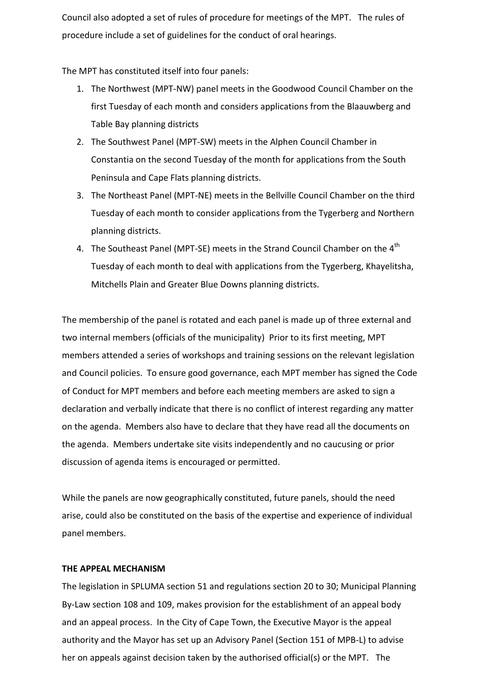Council also adopted a set of rules of procedure for meetings of the MPT. The rules of procedure include a set of guidelines for the conduct of oral hearings.

The MPT has constituted itself into four panels:

- 1. The Northwest (MPT-NW) panel meets in the Goodwood Council Chamber on the first Tuesday of each month and considers applications from the Blaauwberg and Table Bay planning districts
- 2. The Southwest Panel (MPT-SW) meets in the Alphen Council Chamber in Constantia on the second Tuesday of the month for applications from the South Peninsula and Cape Flats planning districts.
- 3. The Northeast Panel (MPT-NE) meets in the Bellville Council Chamber on the third Tuesday of each month to consider applications from the Tygerberg and Northern planning districts.
- 4. The Southeast Panel (MPT-SE) meets in the Strand Council Chamber on the 4<sup>th</sup> Tuesday of each month to deal with applications from the Tygerberg, Khayelitsha, Mitchells Plain and Greater Blue Downs planning districts.

The membership of the panel is rotated and each panel is made up of three external and two internal members (officials of the municipality) Prior to its first meeting, MPT members attended a series of workshops and training sessions on the relevant legislation and Council policies. To ensure good governance, each MPT member has signed the Code of Conduct for MPT members and before each meeting members are asked to sign a declaration and verbally indicate that there is no conflict of interest regarding any matter on the agenda. Members also have to declare that they have read all the documents on the agenda. Members undertake site visits independently and no caucusing or prior discussion of agenda items is encouraged or permitted.

While the panels are now geographically constituted, future panels, should the need arise, could also be constituted on the basis of the expertise and experience of individual panel members.

#### **THE APPEAL MECHANISM**

The legislation in SPLUMA section 51 and regulations section 20 to 30; Municipal Planning By-Law section 108 and 109, makes provision for the establishment of an appeal body and an appeal process. In the City of Cape Town, the Executive Mayor is the appeal authority and the Mayor has set up an Advisory Panel (Section 151 of MPB-L) to advise her on appeals against decision taken by the authorised official(s) or the MPT. The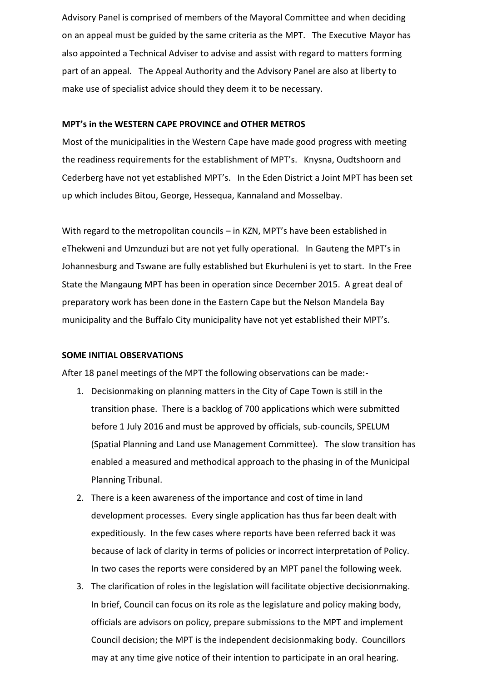Advisory Panel is comprised of members of the Mayoral Committee and when deciding on an appeal must be guided by the same criteria as the MPT. The Executive Mayor has also appointed a Technical Adviser to advise and assist with regard to matters forming part of an appeal. The Appeal Authority and the Advisory Panel are also at liberty to make use of specialist advice should they deem it to be necessary.

#### **MPT's in the WESTERN CAPE PROVINCE and OTHER METROS**

Most of the municipalities in the Western Cape have made good progress with meeting the readiness requirements for the establishment of MPT's. Knysna, Oudtshoorn and Cederberg have not yet established MPT's. In the Eden District a Joint MPT has been set up which includes Bitou, George, Hessequa, Kannaland and Mosselbay.

With regard to the metropolitan councils – in KZN, MPT's have been established in eThekweni and Umzunduzi but are not yet fully operational. In Gauteng the MPT's in Johannesburg and Tswane are fully established but Ekurhuleni is yet to start. In the Free State the Mangaung MPT has been in operation since December 2015. A great deal of preparatory work has been done in the Eastern Cape but the Nelson Mandela Bay municipality and the Buffalo City municipality have not yet established their MPT's.

#### **SOME INITIAL OBSERVATIONS**

After 18 panel meetings of the MPT the following observations can be made:-

- 1. Decisionmaking on planning matters in the City of Cape Town is still in the transition phase. There is a backlog of 700 applications which were submitted before 1 July 2016 and must be approved by officials, sub-councils, SPELUM (Spatial Planning and Land use Management Committee). The slow transition has enabled a measured and methodical approach to the phasing in of the Municipal Planning Tribunal.
- 2. There is a keen awareness of the importance and cost of time in land development processes. Every single application has thus far been dealt with expeditiously. In the few cases where reports have been referred back it was because of lack of clarity in terms of policies or incorrect interpretation of Policy. In two cases the reports were considered by an MPT panel the following week.
- 3. The clarification of roles in the legislation will facilitate objective decisionmaking. In brief, Council can focus on its role as the legislature and policy making body, officials are advisors on policy, prepare submissions to the MPT and implement Council decision; the MPT is the independent decisionmaking body. Councillors may at any time give notice of their intention to participate in an oral hearing.